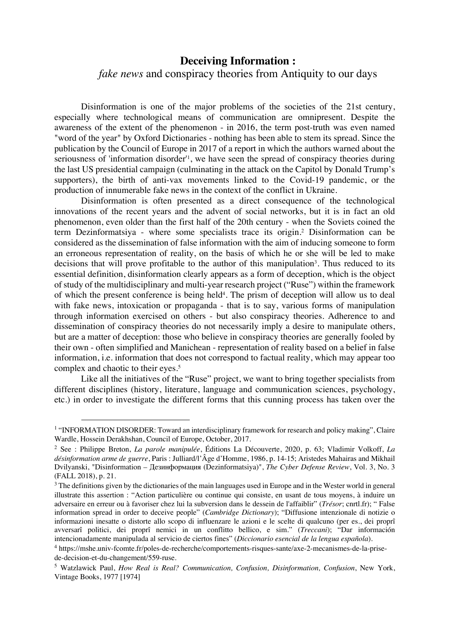## **Deceiving Information :**  *fake news* and conspiracy theories from Antiquity to our days

Disinformation is one of the major problems of the societies of the 21st century, especially where technological means of communication are omnipresent. Despite the awareness of the extent of the phenomenon - in 2016, the term post-truth was even named "word of the year" by Oxford Dictionaries - nothing has been able to stem its spread. Since the publication by the Council of Europe in 2017 of a report in which the authors warned about the seriousness of 'information disorder<sup>11</sup>, we have seen the spread of conspiracy theories during the last US presidential campaign (culminating in the attack on the Capitol by Donald Trump's supporters), the birth of anti-vax movements linked to the Covid-19 pandemic, or the production of innumerable fake news in the context of the conflict in Ukraine.

Disinformation is often presented as a direct consequence of the technological innovations of the recent years and the advent of social networks, but it is in fact an old phenomenon, even older than the first half of the 20th century - when the Soviets coined the term Dezinformatsiya - where some specialists trace its origin.2 Disinformation can be considered as the dissemination of false information with the aim of inducing someone to form an erroneous representation of reality, on the basis of which he or she will be led to make decisions that will prove profitable to the author of this manipulation<sup>3</sup>. Thus reduced to its essential definition, disinformation clearly appears as a form of deception, which is the object of study of the multidisciplinary and multi-year research project ("Ruse") within the framework of which the present conference is being held4. The prism of deception will allow us to deal with fake news, intoxication or propaganda - that is to say, various forms of manipulation through information exercised on others - but also conspiracy theories. Adherence to and dissemination of conspiracy theories do not necessarily imply a desire to manipulate others, but are a matter of deception: those who believe in conspiracy theories are generally fooled by their own - often simplified and Manichean - representation of reality based on a belief in false information, i.e. information that does not correspond to factual reality, which may appear too complex and chaotic to their eyes.<sup>5</sup>

Like all the initiatives of the "Ruse" project, we want to bring together specialists from different disciplines (history, literature, language and communication sciences, psychology, etc.) in order to investigate the different forms that this cunning process has taken over the

<sup>&</sup>lt;sup>1</sup> "INFORMATION DISORDER: Toward an interdisciplinary framework for research and policy making", Claire Wardle, Hossein Derakhshan, Council of Europe, October, 2017.

<sup>2</sup> See : Philippe Breton, *La parole manipulée*, Éditions La Découverte, 2020, p. 63; Vladimir Volkoff, *La désinformation arme de guerre*, Paris : Julliard/l'Âge d'Homme, 1986, p. 14-15; Aristedes Mahairas and Mikhail Dvilyanski, "Disinformation – Дезинформация (Dezinformatsiya)", *The Cyber Defense Review*, Vol. 3, No. 3 (FALL 2018), p. 21.

 $3$  The definitions given by the dictionaries of the main languages used in Europe and in the Wester world in general illustrate this assertion : "Action particulière ou continue qui consiste, en usant de tous moyens, à induire un adversaire en erreur ou à favoriser chez lui la subversion dans le dessein de l'affaiblir" (*Trésor*; cnrtl.fr); " False information spread in order to deceive people" (*Cambridge Dictionary*); "Diffusione intenzionale di notizie o informazioni inesatte o distorte allo scopo di influenzare le azioni e le scelte di qualcuno (per es., dei proprî avversarî politici, dei proprî nemici in un conflitto bellico, e sim." (*Treccani*); "Dar información intencionadamente manipulada al servicio de ciertos fines" (*Diccionario esencial de la lengua española*).

<sup>4</sup> https://mshe.univ-fcomte.fr/poles-de-recherche/comportements-risques-sante/axe-2-mecanismes-de-la-prisede-decision-et-du-changement/559-ruse.

<sup>5</sup> Watzlawick Paul, *How Real is Real? Communication, Confusion, Disinformation, Confusion*, New York, Vintage Books, 1977 [1974]